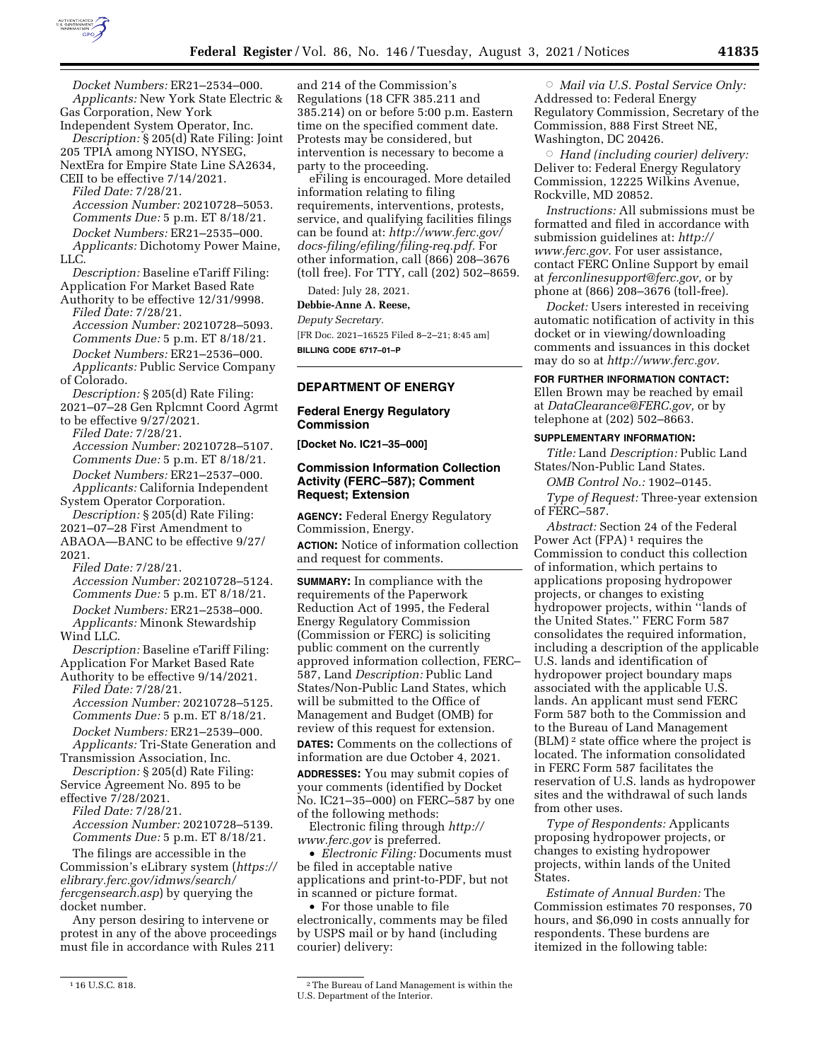

*Docket Numbers:* ER21–2534–000. *Applicants:* New York State Electric & Gas Corporation, New York

Independent System Operator, Inc. *Description:* § 205(d) Rate Filing: Joint 205 TPIA among NYISO, NYSEG, NextEra for Empire State Line SA2634,

CEII to be effective 7/14/2021. *Filed Date:* 7/28/21.

*Accession Number:* 20210728–5053. *Comments Due:* 5 p.m. ET 8/18/21. *Docket Numbers:* ER21–2535–000. *Applicants:* Dichotomy Power Maine, LLC.

*Description:* Baseline eTariff Filing: Application For Market Based Rate

Authority to be effective 12/31/9998. *Filed Date:* 7/28/21. *Accession Number:* 20210728–5093. *Comments Due:* 5 p.m. ET 8/18/21. *Docket Numbers:* ER21–2536–000. *Applicants:* Public Service Company of Colorado.

*Description:* § 205(d) Rate Filing:

2021–07–28 Gen Rplcmnt Coord Agrmt

to be effective 9/27/2021. *Filed Date:* 7/28/21. *Accession Number:* 20210728–5107. *Comments Due:* 5 p.m. ET 8/18/21. *Docket Numbers:* ER21–2537–000. *Applicants:* California Independent

System Operator Corporation.

*Description:* § 205(d) Rate Filing: 2021–07–28 First Amendment to ABAOA—BANC to be effective 9/27/ 2021.

*Filed Date:* 7/28/21.

*Accession Number:* 20210728–5124. *Comments Due:* 5 p.m. ET 8/18/21. *Docket Numbers:* ER21–2538–000. *Applicants:* Minonk Stewardship Wind LLC.

*Description:* Baseline eTariff Filing: Application For Market Based Rate

Authority to be effective 9/14/2021. *Filed Date:* 7/28/21.

*Accession Number:* 20210728–5125. *Comments Due:* 5 p.m. ET 8/18/21. *Docket Numbers:* ER21–2539–000. *Applicants:* Tri-State Generation and

Transmission Association, Inc. *Description:* § 205(d) Rate Filing:

Service Agreement No. 895 to be effective 7/28/2021. *Filed Date:* 7/28/21.

*Accession Number:* 20210728–5139. *Comments Due:* 5 p.m. ET 8/18/21.

The filings are accessible in the Commission's eLibrary system (*[https://](https://elibrary.ferc.gov/idmws/search/fercgensearch.asp) [elibrary.ferc.gov/idmws/search/](https://elibrary.ferc.gov/idmws/search/fercgensearch.asp) [fercgensearch.asp](https://elibrary.ferc.gov/idmws/search/fercgensearch.asp)*) by querying the docket number.

Any person desiring to intervene or protest in any of the above proceedings must file in accordance with Rules 211

and 214 of the Commission's Regulations (18 CFR 385.211 and 385.214) on or before 5:00 p.m. Eastern time on the specified comment date. Protests may be considered, but intervention is necessary to become a party to the proceeding.

eFiling is encouraged. More detailed information relating to filing requirements, interventions, protests, service, and qualifying facilities filings can be found at: *[http://www.ferc.gov/](http://www.ferc.gov/docs-filing/efiling/filing-req.pdf)  [docs-filing/efiling/filing-req.pdf.](http://www.ferc.gov/docs-filing/efiling/filing-req.pdf)* For other information, call (866) 208–3676 (toll free). For TTY, call (202) 502–8659.

Dated: July 28, 2021.

**Debbie-Anne A. Reese,** 

*Deputy Secretary.* 

[FR Doc. 2021–16525 Filed 8–2–21; 8:45 am] **BILLING CODE 6717–01–P** 

# **DEPARTMENT OF ENERGY**

# **Federal Energy Regulatory Commission**

**[Docket No. IC21–35–000]** 

### **Commission Information Collection Activity (FERC–587); Comment Request; Extension**

**AGENCY:** Federal Energy Regulatory Commission, Energy.

**ACTION:** Notice of information collection and request for comments.

**SUMMARY:** In compliance with the requirements of the Paperwork Reduction Act of 1995, the Federal Energy Regulatory Commission (Commission or FERC) is soliciting public comment on the currently approved information collection, FERC– 587, Land *Description:* Public Land States/Non-Public Land States, which will be submitted to the Office of Management and Budget (OMB) for review of this request for extension.

**DATES:** Comments on the collections of information are due October 4, 2021.

**ADDRESSES:** You may submit copies of your comments (identified by Docket No. IC21–35–000) on FERC–587 by one of the following methods:

Electronic filing through *[http://](http://www.ferc.gov) [www.ferc.gov](http://www.ferc.gov)* is preferred.

• *Electronic Filing:* Documents must be filed in acceptable native applications and print-to-PDF, but not in scanned or picture format.

• For those unable to file electronically, comments may be filed by USPS mail or by hand (including courier) delivery:

1 16 U.S.C. 818. 2The Bureau of Land Management is within the U.S. Department of the Interior.

Æ *Mail via U.S. Postal Service Only:*  Addressed to: Federal Energy Regulatory Commission, Secretary of the Commission, 888 First Street NE, Washington, DC 20426.

Æ *Hand (including courier) delivery:*  Deliver to: Federal Energy Regulatory Commission, 12225 Wilkins Avenue, Rockville, MD 20852.

*Instructions:* All submissions must be formatted and filed in accordance with submission guidelines at: *[http://](http://www.ferc.gov) [www.ferc.gov.](http://www.ferc.gov)* For user assistance, contact FERC Online Support by email at *[ferconlinesupport@ferc.gov,](mailto:ferconlinesupport@ferc.gov)* or by phone at (866) 208–3676 (toll-free).

*Docket:* Users interested in receiving automatic notification of activity in this docket or in viewing/downloading comments and issuances in this docket may do so at *[http://www.ferc.gov.](http://www.ferc.gov)* 

#### **FOR FURTHER INFORMATION CONTACT:**

Ellen Brown may be reached by email at *[DataClearance@FERC.gov,](mailto:DataClearance@FERC.gov)* or by telephone at (202) 502–8663.

#### **SUPPLEMENTARY INFORMATION:**

*Title:* Land *Description:* Public Land States/Non-Public Land States.

*OMB Control No.:* 1902–0145.

*Type of Request:* Three-year extension of FERC–587.

*Abstract:* Section 24 of the Federal Power Act (FPA)<sup>1</sup> requires the Commission to conduct this collection of information, which pertains to applications proposing hydropower projects, or changes to existing hydropower projects, within ''lands of the United States.'' FERC Form 587 consolidates the required information, including a description of the applicable U.S. lands and identification of hydropower project boundary maps associated with the applicable U.S. lands. An applicant must send FERC Form 587 both to the Commission and to the Bureau of Land Management (BLM) 2 state office where the project is located. The information consolidated in FERC Form 587 facilitates the reservation of U.S. lands as hydropower sites and the withdrawal of such lands from other uses.

*Type of Respondents:* Applicants proposing hydropower projects, or changes to existing hydropower projects, within lands of the United States.

*Estimate of Annual Burden:* The Commission estimates 70 responses, 70 hours, and \$6,090 in costs annually for respondents. These burdens are itemized in the following table: